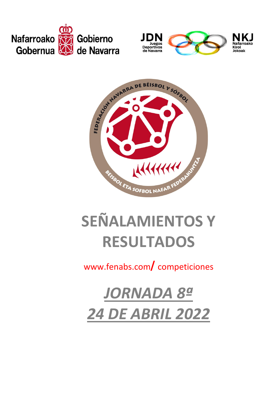





## **SEÑALAMIENTOS Y RESULTADOS**

www.fenabs.com/competiciones

**JORNADA 8ª 24 DE ABRIL 2022**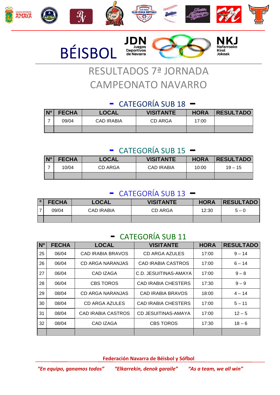







# RESULTADOS 7ª JORNADA CAMPEONATO NAVARRO

#### - CATEGORÍA SUB 18 –

| N <sup>o</sup> | <b>FECHA</b> | LOCAL             | <b>VISITANTE</b> | <b>HORA</b> | <b>RESULTADO</b> |
|----------------|--------------|-------------------|------------------|-------------|------------------|
|                | 09/04        | <b>CAD IRABIA</b> | CD ARGA          | 17:00       |                  |
|                |              |                   |                  |             |                  |

#### - CATEGORÍA SUB 15 –

| $N^{\circ}$ | <b>FECHA</b> | <b>LOCAL</b> | <b>VISITANTE</b>  | <b>HORA</b> | <b>RESULTADO</b> |
|-------------|--------------|--------------|-------------------|-------------|------------------|
|             | 10/04        | CD ARGA      | <b>CAD IRABIA</b> | 10:00       | $19 - 15$        |
|             |              |              |                   |             |                  |

#### - CATEGORÍA SUB 13 –

| <b>FECHA</b> | LOCAL      | <b>VISITANTE</b> | <b>HORA</b> | <b>RESULTADO</b> |
|--------------|------------|------------------|-------------|------------------|
| 09/04        | CAD IRABIA | CD ARGA          | 12:30       | $5 - 0$          |
|              |            |                  |             |                  |

#### - CATEGORÍA SUB 11

| N <sub>o</sub> | <b>FECHA</b> | <b>LOCAL</b>              | <b>VISITANTE</b>           | <b>HORA</b> | <b>RESULTADO</b> |
|----------------|--------------|---------------------------|----------------------------|-------------|------------------|
| 25             | 06/04        | CAD IRABIA BRAVOS         | CD ARGA AZULES             | 17:00       | $9 - 14$         |
| 26             | 06/04        | <b>CD ARGA NARANJAS</b>   | <b>CAD IRABIA CASTROS</b>  | 17:00       | $6 - 14$         |
| 27             | 06/04        | CAD IZAGA                 | C.D. JESUITINAS-AMAYA      | 17:00       | $9 - 8$          |
| 28             | 06/04        | <b>CBS TOROS</b>          | <b>CAD IRABIA CHESTERS</b> | 17:30       | $9 - 9$          |
| 29             | 08/04        | CD ARGA NARANJAS          | <b>CAD IRABIA BRAVOS</b>   | 18:00       | $4 - 14$         |
| 30             | 08/04        | CD ARGA AZULES            | <b>CAD IRABIA CHESTERS</b> | 17:00       | $5 - 11$         |
| 31             | 08/04        | <b>CAD IRABIA CASTROS</b> | <b>CD JESUITINAS-AMAYA</b> | 17:00       | $12 - 5$         |
| 32             | 08/04        | CAD IZAGA                 | <b>CBS TOROS</b>           | 17:30       | $18 - 6$         |
|                |              |                           |                            |             |                  |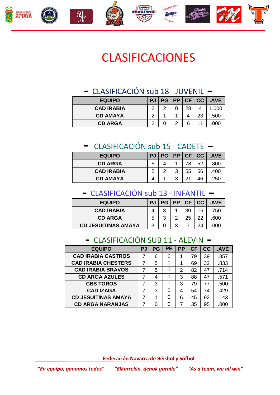

## CLASIFICACIONES

#### - CLASIFICACIÓN sub 18 - JUVENIL –

| <b>EQUIPO</b>     | <b>PJ</b> |  |  |  | PG   PP   CF   CC | .AVE |
|-------------------|-----------|--|--|--|-------------------|------|
| <b>CAD IRABIA</b> | ົ         |  |  |  |                   |      |
| <b>CD AMAYA</b>   |           |  |  |  | 23                | .500 |
| <b>CD ARGA</b>    | $\sim$    |  |  |  |                   |      |

#### - CLASIFICACIÓN sub 15 - CADETE –

| <b>EQUIPO</b>     | <b>PJ</b> |   |    | PG   PP   CF   CC | .AVE |
|-------------------|-----------|---|----|-------------------|------|
| <b>CD ARGA</b>    | 5         |   | 78 | 52                | .800 |
| <b>CAD IRABIA</b> | 5         | 3 | 55 | 56                | .400 |
| <b>CD AMAYA</b>   |           | ີ | 21 | 46                | .250 |

#### - CLASIFICACIÓN sub 13 - INFANTIL –

| <b>EQUIPO</b>              |   | PJ   PG   PP   CF   CC |   |    |    | .AVE |
|----------------------------|---|------------------------|---|----|----|------|
| <b>CAD IRABIA</b>          |   | 2                      |   | 30 | 16 | 750  |
| <b>CD ARGA</b>             |   | ?                      | າ | 25 |    | .600 |
| <b>CD JESUITINAS AMAYA</b> | າ |                        | 3 |    |    |      |

#### - CLASIFICACIÓN SUB 11 - ALEVIN -

| <b>EQUIPO</b>              | PJ | <b>PG</b> | <b>PE</b> | <b>PP</b> | <b>CF</b> | cc | .AVE |
|----------------------------|----|-----------|-----------|-----------|-----------|----|------|
| <b>CAD IRABIA CASTROS</b>  |    | 6         | 0         |           | 79        | 39 | .857 |
| <b>CAD IRABIA CHESTERS</b> |    | 5         |           |           | 69        | 32 | .833 |
| <b>CAD IRABIA BRAVOS</b>   |    | 5         | O         | 2         | 82        | 47 | .714 |
| <b>CD ARGA AZULES</b>      |    | 4         | 0         | 3         | 88        | 47 | .571 |
| <b>CBS TOROS</b>           |    | 3         | 1         | 3         | 79        | 77 | .500 |
| <b>CAD IZAGA</b>           |    | 3         | O         | 4         | 54        | 74 | .429 |
| <b>CD JESUITINAS AMAYA</b> |    | 1         | O         | 6         | 45        | 92 | .143 |
| <b>CD ARGA NARANJAS</b>    |    | n         | O         | 7         | 35        | 95 | .000 |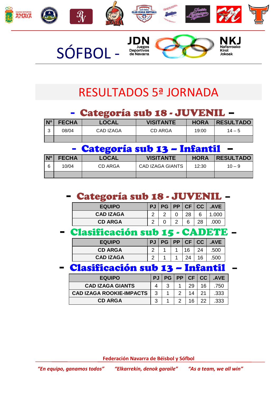

## RESULTADOS 5ª JORNADA

#### - Categoría sub 18 - JUVENIL –

| <b>N°</b> | <b>FECHA</b> | <b>LOCAL</b> | <b>VISITANTE</b> | <b>HORA</b> | <b>RESULTADO</b> |
|-----------|--------------|--------------|------------------|-------------|------------------|
| $\sim$    | 08/04        | CAD IZAGA    | CD ARGA          | 19:00       | $14 - 5$         |
|           |              |              |                  |             |                  |

#### - Categoría sub 13 – Infantil –

| $\mathsf{N}^\mathsf{o}$ | <b>FECHA</b> | <b>LOCAL</b> | <b>VISITANTE</b>        | <b>HORA</b> | <b>RESULTADO</b> |
|-------------------------|--------------|--------------|-------------------------|-------------|------------------|
| 6                       | 10/04        | CD ARGA      | <b>CAD IZAGA GIANTS</b> | 12:30       | $10 - 9$         |
|                         |              |              |                         |             |                  |

#### - Categoría sub 18 - JUVENIL –

| <b>EQUIPO</b>    | PJ PG PP CF CC |    |   | <b>AVE</b> |
|------------------|----------------|----|---|------------|
| <b>CAD IZAGA</b> |                | 28 | 6 | 1.000      |
| <b>CD ARGA</b>   |                |    |   |            |

#### - Clasificación sub 15 - CADETE –

| <b>EQUIPO</b>    | <b>PJ</b> |  | PG   PP   CF   CC |    | .AVE |
|------------------|-----------|--|-------------------|----|------|
| <b>CD ARGA</b>   |           |  | 16                |    | .500 |
| <b>CAD IZAGA</b> |           |  |                   | 16 |      |

#### - Clasificación sub 13 – Infantil –

| <b>EQUIPO</b>                   | <b>PJ</b> | PG I |    | PP CF CC | .AVE |
|---------------------------------|-----------|------|----|----------|------|
| <b>CAD IZAGA GIANTS</b>         |           | າ    | 29 | 16       | 750  |
| <b>CAD IZAGA ROOKIE-IMPACTS</b> | 3         |      | 14 |          | .333 |
| <b>CD ARGA</b>                  |           |      | 16 |          | 333  |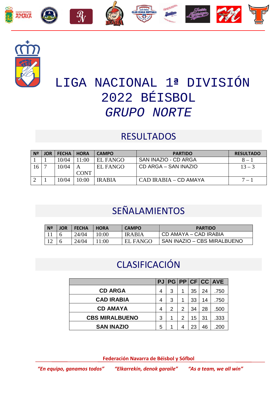



## LIGA NACIONAL 1**ª** DIVISIÓN 2022 BÉISBOL *GRUPO NORTE*

#### RESULTADOS

| N <sup>2</sup> | <b>JOR</b> | <b>FECHA</b> | <b>HORA</b> | <b>CAMPO</b>    | <b>PARTIDO</b>        | <b>RESULTADO</b> |
|----------------|------------|--------------|-------------|-----------------|-----------------------|------------------|
|                |            | 10/04        | 1:00        | EL FANGO        | SAN INAZIO - CD ARGA  | $8 - 1$          |
| 16             |            | 10/04        |             | <b>EL FANGO</b> | CD ARGA – SAN INAZIO  | $13 - 3$         |
|                |            |              | <b>CONT</b> |                 |                       |                  |
|                |            | 10/04        | 10:00       | <b>IRABIA</b>   | CAD IRABIA – CD AMAYA | $7 - 1$          |

## SEÑALAMIENTOS

| Nº | JOR | <b>FECHA</b> | <b>HORA</b> | <b>CAMPO</b>  | <b>PARTIDO</b>              |
|----|-----|--------------|-------------|---------------|-----------------------------|
|    |     | 24/04        | 10.00       | <b>IRABIA</b> | CD AMAYA – CAD IRABIA       |
|    |     | 24/04        | 1.00        | EL FANGO      | SAN INAZIO – CBS MIRALBUENO |

#### CLASIFICACIÓN

|                       | <b>PJ</b> |   |   |    |    | PG PP CF CC AVE |
|-----------------------|-----------|---|---|----|----|-----------------|
| <b>CD ARGA</b>        | 4         | 3 | 1 | 35 | 24 | .750            |
| <b>CAD IRABIA</b>     | 4         | 3 | 1 | 33 | 14 | .750            |
| <b>CD AMAYA</b>       | 4         | 2 | 2 | 34 | 28 | .500            |
| <b>CBS MIRALBUENO</b> | 3         | 1 | 2 | 15 | 31 | .333            |
| <b>SAN INAZIO</b>     | 5         | 1 | 4 | 23 | 46 | .200            |